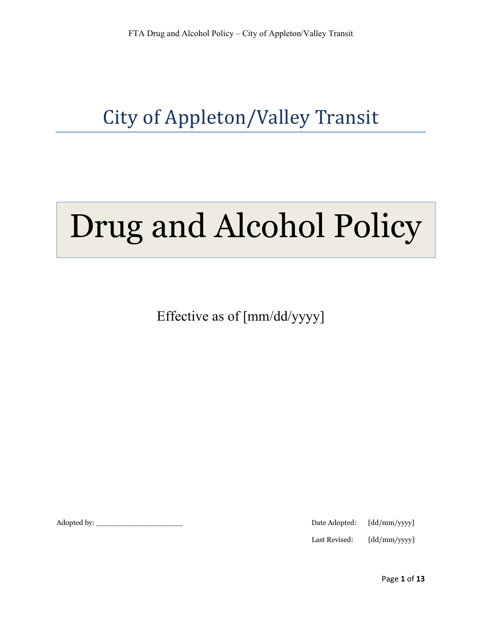# City of Appleton/Valley Transit

# Drug and Alcohol Policy

Effective as of [mm/dd/yyyy]

Adopted by: \_\_\_\_\_\_\_\_\_\_\_\_\_\_\_\_\_\_\_ Date Adopted: [dd/mm/yyyy]

Last Revised: [dd/mm/yyyy]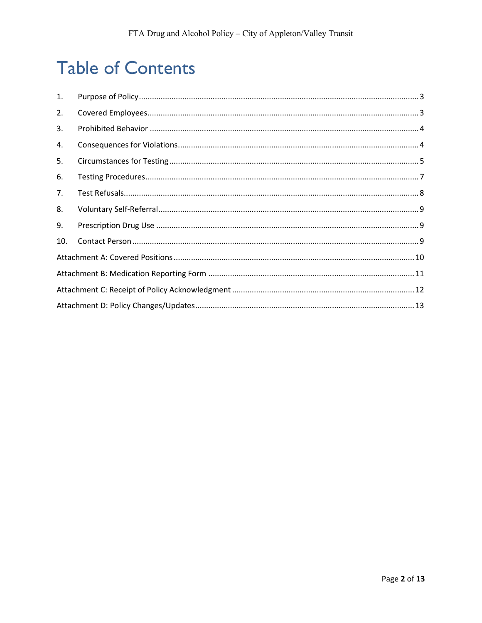# **Table of Contents**

| 1.  |  |  |  |  |  |
|-----|--|--|--|--|--|
| 2.  |  |  |  |  |  |
| 3.  |  |  |  |  |  |
| 4.  |  |  |  |  |  |
| 5.  |  |  |  |  |  |
| 6.  |  |  |  |  |  |
| 7.  |  |  |  |  |  |
| 8.  |  |  |  |  |  |
| 9.  |  |  |  |  |  |
| 10. |  |  |  |  |  |
|     |  |  |  |  |  |
|     |  |  |  |  |  |
|     |  |  |  |  |  |
|     |  |  |  |  |  |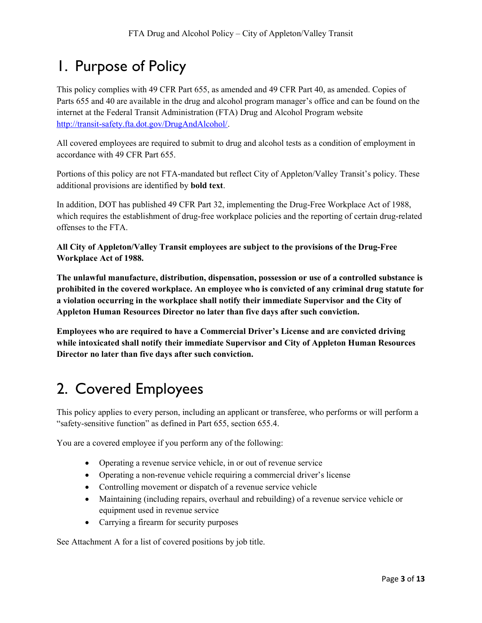## 1. Purpose of Policy

This policy complies with 49 CFR Part 655, as amended and 49 CFR Part 40, as amended. Copies of Parts 655 and 40 are available in the drug and alcohol program manager's office and can be found on the internet at the Federal Transit Administration (FTA) Drug and Alcohol Program website http://transit-safety.fta.dot.gov/DrugAndAlcohol/.

All covered employees are required to submit to drug and alcohol tests as a condition of employment in accordance with 49 CFR Part 655.

Portions of this policy are not FTA-mandated but reflect City of Appleton/Valley Transit's policy. These additional provisions are identified by bold text.

In addition, DOT has published 49 CFR Part 32, implementing the Drug-Free Workplace Act of 1988, which requires the establishment of drug-free workplace policies and the reporting of certain drug-related offenses to the FTA.

All City of Appleton/Valley Transit employees are subject to the provisions of the Drug-Free Workplace Act of 1988.

The unlawful manufacture, distribution, dispensation, possession or use of a controlled substance is prohibited in the covered workplace. An employee who is convicted of any criminal drug statute for a violation occurring in the workplace shall notify their immediate Supervisor and the City of Appleton Human Resources Director no later than five days after such conviction.

Employees who are required to have a Commercial Driver's License and are convicted driving while intoxicated shall notify their immediate Supervisor and City of Appleton Human Resources Director no later than five days after such conviction.

## 2. Covered Employees

This policy applies to every person, including an applicant or transferee, who performs or will perform a "safety-sensitive function" as defined in Part 655, section 655.4.

You are a covered employee if you perform any of the following:

- Operating a revenue service vehicle, in or out of revenue service
- Operating a non-revenue vehicle requiring a commercial driver's license
- Controlling movement or dispatch of a revenue service vehicle
- Maintaining (including repairs, overhaul and rebuilding) of a revenue service vehicle or equipment used in revenue service
- Carrying a firearm for security purposes

See Attachment A for a list of covered positions by job title.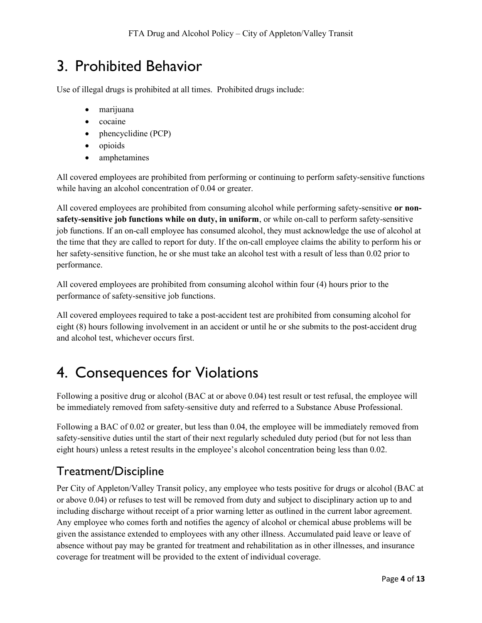## 3. Prohibited Behavior

Use of illegal drugs is prohibited at all times. Prohibited drugs include:

- marijuana
- cocaine
- phencyclidine (PCP)
- opioids
- amphetamines

All covered employees are prohibited from performing or continuing to perform safety-sensitive functions while having an alcohol concentration of 0.04 or greater.

All covered employees are prohibited from consuming alcohol while performing safety-sensitive or nonsafety-sensitive job functions while on duty, in uniform, or while on-call to perform safety-sensitive job functions. If an on-call employee has consumed alcohol, they must acknowledge the use of alcohol at the time that they are called to report for duty. If the on-call employee claims the ability to perform his or her safety-sensitive function, he or she must take an alcohol test with a result of less than 0.02 prior to performance.

All covered employees are prohibited from consuming alcohol within four (4) hours prior to the performance of safety-sensitive job functions.

All covered employees required to take a post-accident test are prohibited from consuming alcohol for eight (8) hours following involvement in an accident or until he or she submits to the post-accident drug and alcohol test, whichever occurs first.

## 4. Consequences for Violations

Following a positive drug or alcohol (BAC at or above 0.04) test result or test refusal, the employee will be immediately removed from safety-sensitive duty and referred to a Substance Abuse Professional.

Following a BAC of 0.02 or greater, but less than 0.04, the employee will be immediately removed from safety-sensitive duties until the start of their next regularly scheduled duty period (but for not less than eight hours) unless a retest results in the employee's alcohol concentration being less than 0.02.

## Treatment/Discipline

Per City of Appleton/Valley Transit policy, any employee who tests positive for drugs or alcohol (BAC at or above 0.04) or refuses to test will be removed from duty and subject to disciplinary action up to and including discharge without receipt of a prior warning letter as outlined in the current labor agreement. Any employee who comes forth and notifies the agency of alcohol or chemical abuse problems will be given the assistance extended to employees with any other illness. Accumulated paid leave or leave of absence without pay may be granted for treatment and rehabilitation as in other illnesses, and insurance coverage for treatment will be provided to the extent of individual coverage.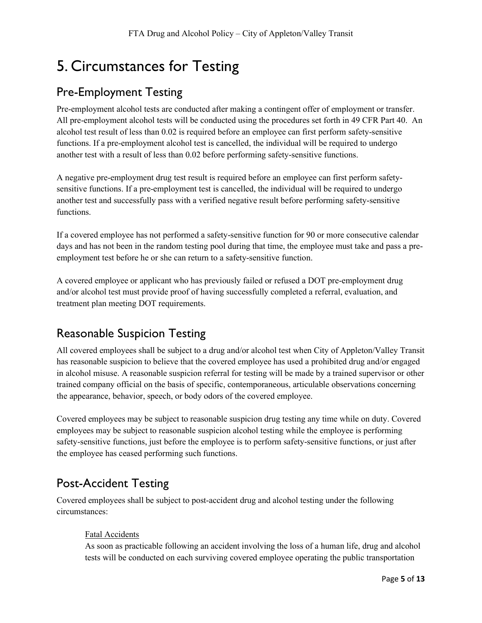## 5. Circumstances for Testing

#### Pre-Employment Testing

Pre-employment alcohol tests are conducted after making a contingent offer of employment or transfer. All pre-employment alcohol tests will be conducted using the procedures set forth in 49 CFR Part 40. An alcohol test result of less than 0.02 is required before an employee can first perform safety-sensitive functions. If a pre-employment alcohol test is cancelled, the individual will be required to undergo another test with a result of less than 0.02 before performing safety-sensitive functions.

A negative pre-employment drug test result is required before an employee can first perform safetysensitive functions. If a pre-employment test is cancelled, the individual will be required to undergo another test and successfully pass with a verified negative result before performing safety-sensitive functions.

If a covered employee has not performed a safety-sensitive function for 90 or more consecutive calendar days and has not been in the random testing pool during that time, the employee must take and pass a preemployment test before he or she can return to a safety-sensitive function.

A covered employee or applicant who has previously failed or refused a DOT pre-employment drug and/or alcohol test must provide proof of having successfully completed a referral, evaluation, and treatment plan meeting DOT requirements.

## Reasonable Suspicion Testing

All covered employees shall be subject to a drug and/or alcohol test when City of Appleton/Valley Transit has reasonable suspicion to believe that the covered employee has used a prohibited drug and/or engaged in alcohol misuse. A reasonable suspicion referral for testing will be made by a trained supervisor or other trained company official on the basis of specific, contemporaneous, articulable observations concerning the appearance, behavior, speech, or body odors of the covered employee.

Covered employees may be subject to reasonable suspicion drug testing any time while on duty. Covered employees may be subject to reasonable suspicion alcohol testing while the employee is performing safety-sensitive functions, just before the employee is to perform safety-sensitive functions, or just after the employee has ceased performing such functions.

## Post-Accident Testing

Covered employees shall be subject to post-accident drug and alcohol testing under the following circumstances:

#### Fatal Accidents

As soon as practicable following an accident involving the loss of a human life, drug and alcohol tests will be conducted on each surviving covered employee operating the public transportation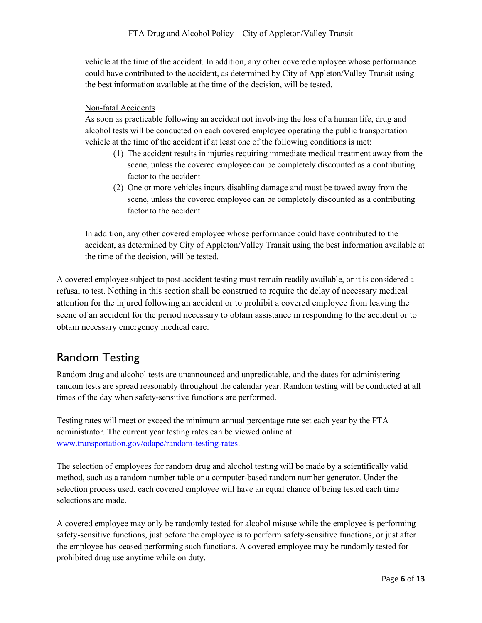vehicle at the time of the accident. In addition, any other covered employee whose performance could have contributed to the accident, as determined by City of Appleton/Valley Transit using the best information available at the time of the decision, will be tested.

#### Non-fatal Accidents

As soon as practicable following an accident not involving the loss of a human life, drug and alcohol tests will be conducted on each covered employee operating the public transportation vehicle at the time of the accident if at least one of the following conditions is met:

- (1) The accident results in injuries requiring immediate medical treatment away from the scene, unless the covered employee can be completely discounted as a contributing factor to the accident
- (2) One or more vehicles incurs disabling damage and must be towed away from the scene, unless the covered employee can be completely discounted as a contributing factor to the accident

In addition, any other covered employee whose performance could have contributed to the accident, as determined by City of Appleton/Valley Transit using the best information available at the time of the decision, will be tested.

A covered employee subject to post-accident testing must remain readily available, or it is considered a refusal to test. Nothing in this section shall be construed to require the delay of necessary medical attention for the injured following an accident or to prohibit a covered employee from leaving the scene of an accident for the period necessary to obtain assistance in responding to the accident or to obtain necessary emergency medical care.

## Random Testing

Random drug and alcohol tests are unannounced and unpredictable, and the dates for administering random tests are spread reasonably throughout the calendar year. Random testing will be conducted at all times of the day when safety-sensitive functions are performed.

Testing rates will meet or exceed the minimum annual percentage rate set each year by the FTA administrator. The current year testing rates can be viewed online at www.transportation.gov/odapc/random-testing-rates.

The selection of employees for random drug and alcohol testing will be made by a scientifically valid method, such as a random number table or a computer-based random number generator. Under the selection process used, each covered employee will have an equal chance of being tested each time selections are made.

A covered employee may only be randomly tested for alcohol misuse while the employee is performing safety-sensitive functions, just before the employee is to perform safety-sensitive functions, or just after the employee has ceased performing such functions. A covered employee may be randomly tested for prohibited drug use anytime while on duty.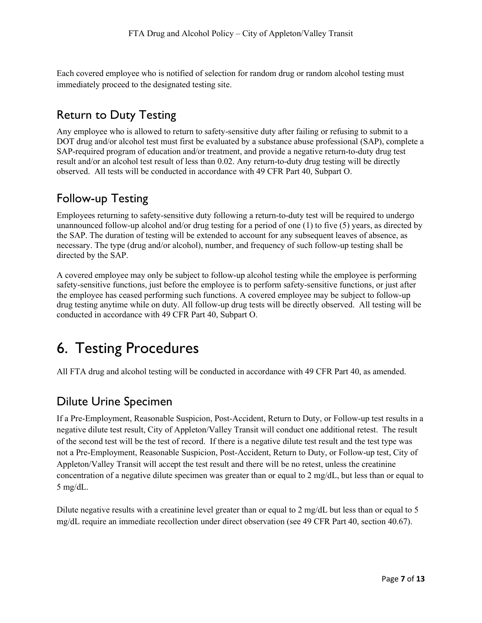Each covered employee who is notified of selection for random drug or random alcohol testing must immediately proceed to the designated testing site.

## Return to Duty Testing

Any employee who is allowed to return to safety-sensitive duty after failing or refusing to submit to a DOT drug and/or alcohol test must first be evaluated by a substance abuse professional (SAP), complete a SAP-required program of education and/or treatment, and provide a negative return-to-duty drug test result and/or an alcohol test result of less than 0.02. Any return-to-duty drug testing will be directly observed. All tests will be conducted in accordance with 49 CFR Part 40, Subpart O.

#### Follow-up Testing

Employees returning to safety-sensitive duty following a return-to-duty test will be required to undergo unannounced follow-up alcohol and/or drug testing for a period of one (1) to five (5) years, as directed by the SAP. The duration of testing will be extended to account for any subsequent leaves of absence, as necessary. The type (drug and/or alcohol), number, and frequency of such follow-up testing shall be directed by the SAP.

A covered employee may only be subject to follow-up alcohol testing while the employee is performing safety-sensitive functions, just before the employee is to perform safety-sensitive functions, or just after the employee has ceased performing such functions. A covered employee may be subject to follow-up drug testing anytime while on duty. All follow-up drug tests will be directly observed. All testing will be conducted in accordance with 49 CFR Part 40, Subpart O.

## 6. Testing Procedures

All FTA drug and alcohol testing will be conducted in accordance with 49 CFR Part 40, as amended.

#### Dilute Urine Specimen

If a Pre-Employment, Reasonable Suspicion, Post-Accident, Return to Duty, or Follow-up test results in a negative dilute test result, City of Appleton/Valley Transit will conduct one additional retest. The result of the second test will be the test of record. If there is a negative dilute test result and the test type was not a Pre-Employment, Reasonable Suspicion, Post-Accident, Return to Duty, or Follow-up test, City of Appleton/Valley Transit will accept the test result and there will be no retest, unless the creatinine concentration of a negative dilute specimen was greater than or equal to 2 mg/dL, but less than or equal to 5 mg/dL.

Dilute negative results with a creatinine level greater than or equal to 2 mg/dL but less than or equal to 5 mg/dL require an immediate recollection under direct observation (see 49 CFR Part 40, section 40.67).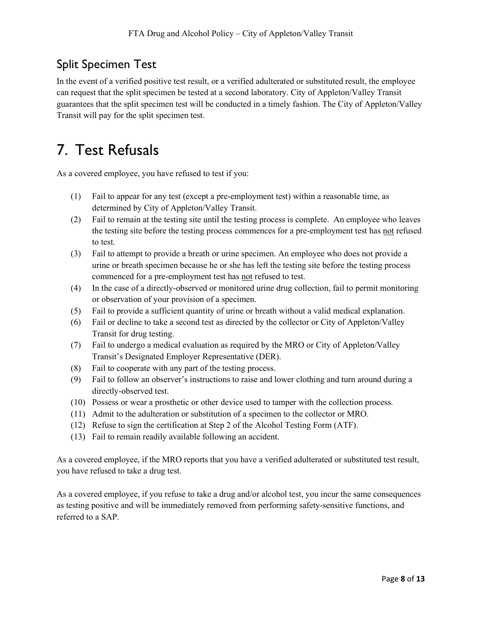## Split Specimen Test

In the event of a verified positive test result, or a verified adulterated or substituted result, the employee can request that the split specimen be tested at a second laboratory. City of Appleton/Valley Transit guarantees that the split specimen test will be conducted in a timely fashion. The City of Appleton/Valley Transit will pay for the split specimen test.

## 7. Test Refusals

As a covered employee, you have refused to test if you:

- (1) Fail to appear for any test (except a pre-employment test) within a reasonable time, as determined by City of Appleton/Valley Transit.
- (2) Fail to remain at the testing site until the testing process is complete. An employee who leaves the testing site before the testing process commences for a pre-employment test has not refused to test.
- (3) Fail to attempt to provide a breath or urine specimen. An employee who does not provide a urine or breath specimen because he or she has left the testing site before the testing process commenced for a pre-employment test has not refused to test.
- (4) In the case of a directly-observed or monitored urine drug collection, fail to permit monitoring or observation of your provision of a specimen.
- (5) Fail to provide a sufficient quantity of urine or breath without a valid medical explanation.
- (6) Fail or decline to take a second test as directed by the collector or City of Appleton/Valley Transit for drug testing.
- (7) Fail to undergo a medical evaluation as required by the MRO or City of Appleton/Valley Transit's Designated Employer Representative (DER).
- (8) Fail to cooperate with any part of the testing process.
- (9) Fail to follow an observer's instructions to raise and lower clothing and turn around during a directly-observed test.
- (10) Possess or wear a prosthetic or other device used to tamper with the collection process.
- (11) Admit to the adulteration or substitution of a specimen to the collector or MRO.
- (12) Refuse to sign the certification at Step 2 of the Alcohol Testing Form (ATF).
- (13) Fail to remain readily available following an accident.

As a covered employee, if the MRO reports that you have a verified adulterated or substituted test result, you have refused to take a drug test.

As a covered employee, if you refuse to take a drug and/or alcohol test, you incur the same consequences as testing positive and will be immediately removed from performing safety-sensitive functions, and referred to a SAP.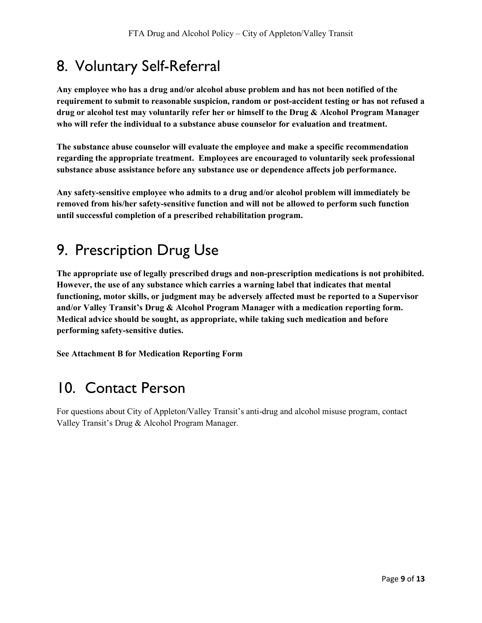## 8. Voluntary Self-Referral

Any employee who has a drug and/or alcohol abuse problem and has not been notified of the requirement to submit to reasonable suspicion, random or post-accident testing or has not refused a drug or alcohol test may voluntarily refer her or himself to the Drug & Alcohol Program Manager who will refer the individual to a substance abuse counselor for evaluation and treatment.

The substance abuse counselor will evaluate the employee and make a specific recommendation regarding the appropriate treatment. Employees are encouraged to voluntarily seek professional substance abuse assistance before any substance use or dependence affects job performance.

Any safety-sensitive employee who admits to a drug and/or alcohol problem will immediately be removed from his/her safety-sensitive function and will not be allowed to perform such function until successful completion of a prescribed rehabilitation program.

## 9. Prescription Drug Use

The appropriate use of legally prescribed drugs and non-prescription medications is not prohibited. However, the use of any substance which carries a warning label that indicates that mental functioning, motor skills, or judgment may be adversely affected must be reported to a Supervisor and/or Valley Transit's Drug & Alcohol Program Manager with a medication reporting form. Medical advice should be sought, as appropriate, while taking such medication and before performing safety-sensitive duties.

See Attachment B for Medication Reporting Form

## 10. Contact Person

For questions about City of Appleton/Valley Transit's anti-drug and alcohol misuse program, contact Valley Transit's Drug & Alcohol Program Manager.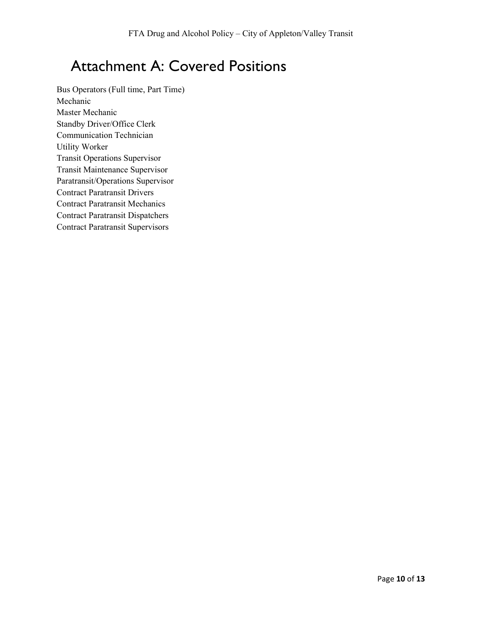## Attachment A: Covered Positions

Bus Operators (Full time, Part Time) Mechanic Master Mechanic Standby Driver/Office Clerk Communication Technician Utility Worker Transit Operations Supervisor Transit Maintenance Supervisor Paratransit/Operations Supervisor Contract Paratransit Drivers Contract Paratransit Mechanics Contract Paratransit Dispatchers Contract Paratransit Supervisors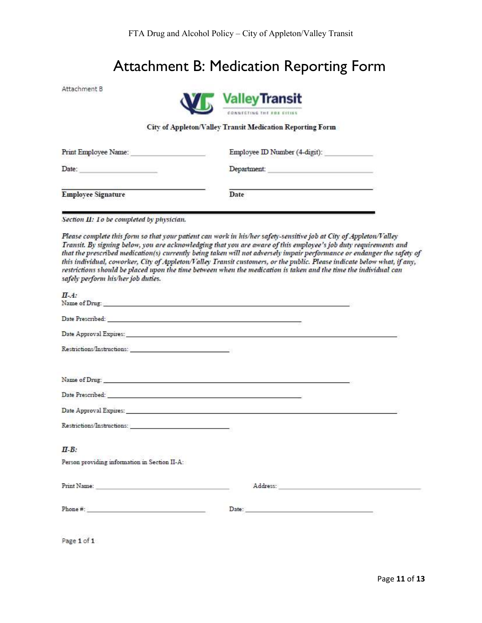## Attachment B: Medication Reporting Form

Attachment B



#### City of Appleton/Valley Transit Medication Reporting Form

| Print Employee Name:      | Employee ID Number (4-digit): |  |  |
|---------------------------|-------------------------------|--|--|
| Date:                     | Department:                   |  |  |
| <b>Employee Signature</b> | Date<br>te britane            |  |  |

Section II: To be completed by physician.

Please complete this form so that your patient can work in his/her safety-sensitive job at City of Appleton/Valley Transit. By signing below, you are acknowledging that you are aware of this employee's job duty requirements and that the prescribed medication(s) currently being taken will not adversely impair performance or endanger the safety of this individual, coworker, City of Appleton/Valley Transit customers, or the public. Please indicate below what, if any, restrictions should be placed upon the time between when the medication is taken and the time the individual can safely perform his/her job duties.

| $\Pi - A$ :                                                                                                                                                                                                                                                                                                                                                                                                                           |  |
|---------------------------------------------------------------------------------------------------------------------------------------------------------------------------------------------------------------------------------------------------------------------------------------------------------------------------------------------------------------------------------------------------------------------------------------|--|
|                                                                                                                                                                                                                                                                                                                                                                                                                                       |  |
| Date Prescribed: New York State State State State State State State State State State State State State State State State State State State State State State State State State State State State State State State State Stat                                                                                                                                                                                                        |  |
| Date Approval Expires: and the contract of the contract of the contract of the contract of the contract of the contract of the contract of the contract of the contract of the contract of the contract of the contract of the                                                                                                                                                                                                        |  |
|                                                                                                                                                                                                                                                                                                                                                                                                                                       |  |
|                                                                                                                                                                                                                                                                                                                                                                                                                                       |  |
| Date Prescribed: New York Prescribed: New York Prescribed: New York Prescribed: New York Prescribed: New York Prescribed: New York Prescribed: New York Prescribed: New York Prescribed: New York Prescribed: New York Prescri                                                                                                                                                                                                        |  |
|                                                                                                                                                                                                                                                                                                                                                                                                                                       |  |
|                                                                                                                                                                                                                                                                                                                                                                                                                                       |  |
| $\Pi$ -B:                                                                                                                                                                                                                                                                                                                                                                                                                             |  |
| Person providing information in Section II-A:                                                                                                                                                                                                                                                                                                                                                                                         |  |
|                                                                                                                                                                                                                                                                                                                                                                                                                                       |  |
| $\label{eq:1} {\bf Phone} \; \#: \; \underline{\hspace{2cm}} \hspace{2cm} \hspace{2cm} \hspace{2cm} \hspace{2cm} \hspace{2cm} \hspace{2cm} \hspace{2cm} \hspace{2cm} \hspace{2cm} \hspace{2cm} \hspace{2cm} \hspace{2cm} \hspace{2cm} \hspace{2cm} \hspace{2cm} \hspace{2cm} \hspace{2cm} \hspace{2cm} \hspace{2cm} \hspace{2cm} \hspace{2cm} \hspace{2cm} \hspace{2cm} \hspace{2cm} \hspace{2cm} \hspace{2cm} \hspace{2cm} \hspace{$ |  |
|                                                                                                                                                                                                                                                                                                                                                                                                                                       |  |

Page 1 of 1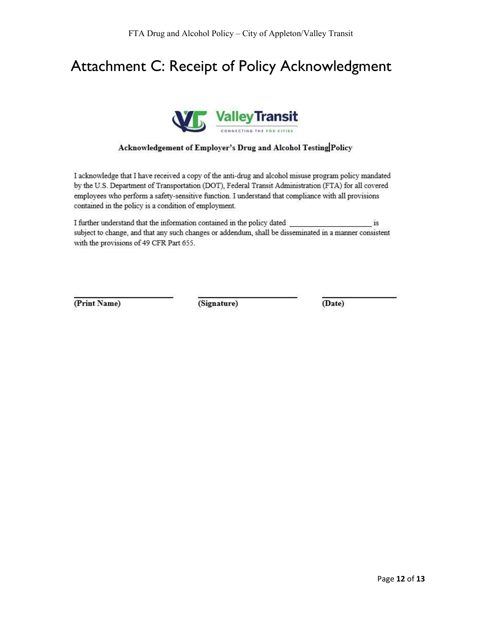## Attachment C: Receipt of Policy Acknowledgment



#### Acknowledgement of Employer's Drug and Alcohol Testing Policy

I acknowledge that I have received a copy of the anti-drug and alcohol misuse program policy mandated by the U.S. Department of Transportation (DOT), Federal Transit Administration (FTA) for all covered employees who perform a safety-sensitive function. I understand that compliance with all provisions contained in the policy is a condition of employment.

I further understand that the information contained in the policy dated \_  $1{\rm S}$ subject to change, and that any such changes or addendum, shall be disseminated in a manner consistent with the provisions of 49 CFR Part 655.

(Print Name)

(Signature)

(Date)